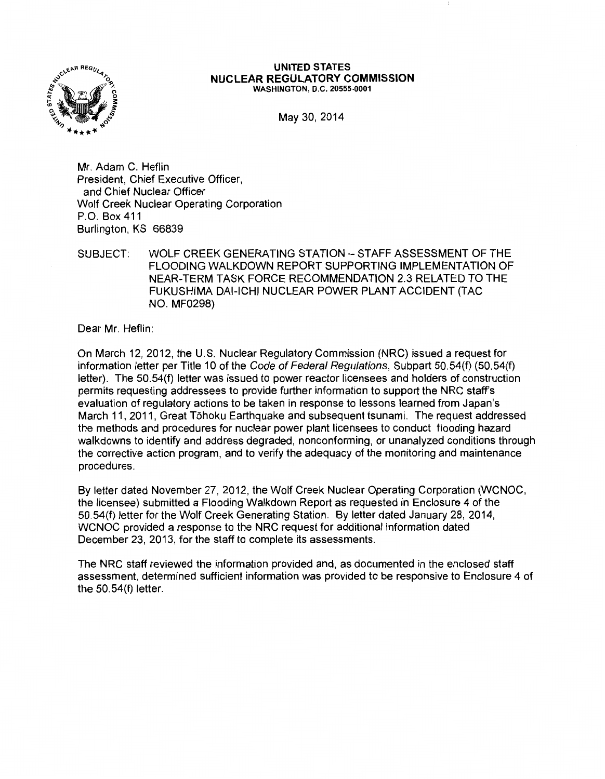

#### UNITED STATES NUCLEAR REGULATORY COMMISSION WASHINGTON, D.C. 20555-0001

May 30, 2014

Mr. Adam C. Heflin President, Chief Executive Officer, and Chief Nuclear Officer Wolf Creek Nuclear Operating Corporation P.O. Box 411 Burlington, KS 66839

## SUBJECT: WOLF CREEK GENERATING STATION- STAFF ASSESSMENT OF THE FLOODING WALKDOWN REPORT SUPPORTING IMPLEMENTATION OF NEAR-TERM TASK FORCE RECOMMENDATION 2.3 RELATED TO THE FUKUSHIMA DAI-ICHI NUCLEAR POWER PLANT ACCIDENT (TAC NO. MF0298)

Dear Mr. Heflin:

On March 12, 2012, the U.S. Nuclear Regulatory Commission (NRC) issued a request for information letter per Title 10 of the Code of Federal Regulations, Subpart 50.54(f) (50.54(f) letter). The 50.54(f) letter was issued to power reactor licensees and holders of construction permits requesting addressees to provide further information to support the NRC staff's evaluation of regulatory actions to be taken in response to lessons learned from Japan's March 11, 2011, Great Tohoku Earthquake and subsequent tsunami. The request addressed the methods and procedures for nuclear power plant licensees to conduct flooding hazard walkdowns to identify and address degraded, nonconforming, or unanalyzed conditions through the corrective action program, and to verify the adequacy of the monitoring and maintenance procedures.

By letter dated November 27, 2012, the Wolf Creek Nuclear Operating Corporation (WCNOC, the licensee) submitted a Flooding Walkdown Report as requested in Enclosure 4 of the 50.54(f) letter for the Wolf Creek Generating Station. By letter dated January 28, 2014, WCNOC provided a response to the NRC request for additional information dated December 23, 2013, for the staff to complete its assessments.

The NRC staff reviewed the information provided and, as documented in the enclosed staff assessment, determined sufficient information was provided to be responsive to Enclosure 4 of the 50.54(f) letter.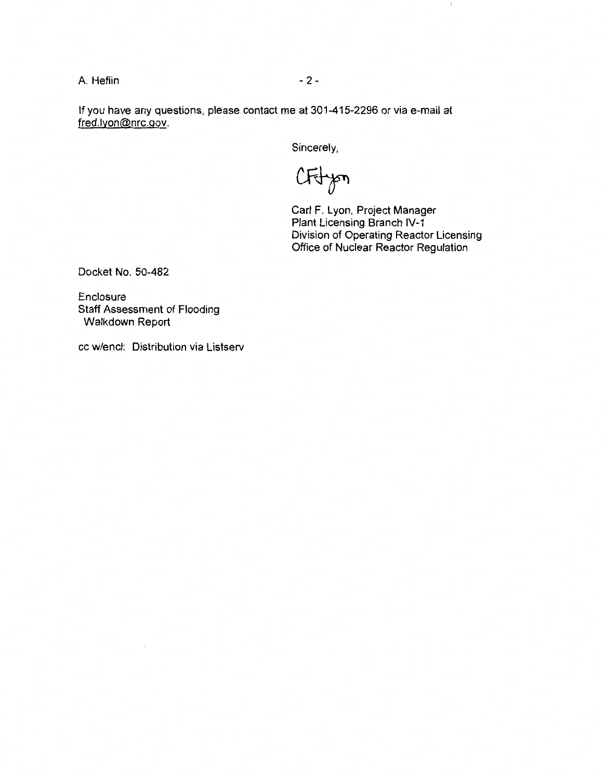A. Heflin - 2-

If you have any questions, please contact me at 301-415-2296 or via e-mail at fred.lyon@nrc.gov.

Sincerely,

CFfyon

Carl F. Lyon, Project Manager Plant Licensing Branch IV-1 Division of Operating Reactor Licensing Office of Nuclear Reactor Regulation

 $\mathbb{I}$ 

Docket No. 50-482

Enclosure Staff Assessment of Flooding Walkdown Report

cc w/encl: Distribution via Listserv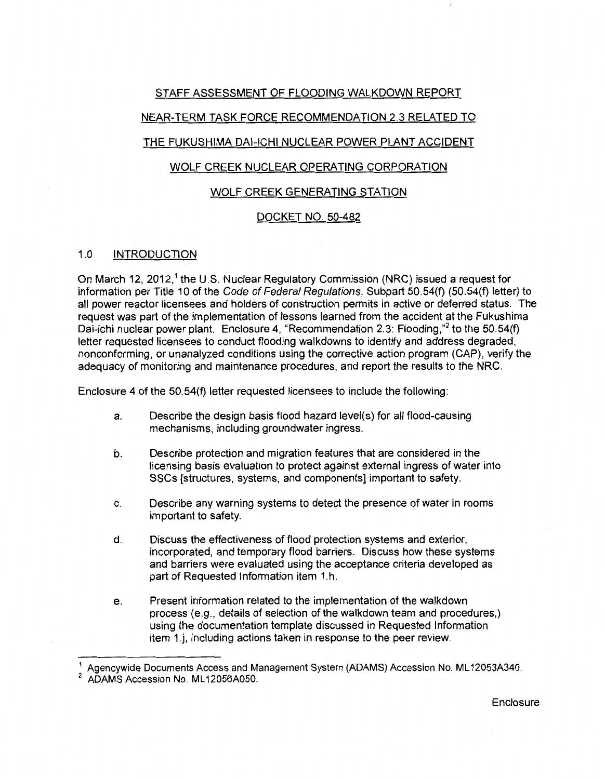## STAFF ASSESSMENT OF FLOODING WALKDOWN REPORT

# NEAR-TERM TASK FORCE RECOMMENDATION 2.3 RELATED TO

# THE FUKUSHIMA DAI-ICHI NUCLEAR POWER PLANT ACCIDENT

# WOLF CREEK NUCLEAR OPERATING CORPORATION

## WOLF CREEK GENERATING STATION

# DOCKET NO. 50-482

### 1.0 INTRODUCTION

On March 12, 2012,<sup>1</sup> the U.S. Nuclear Regulatory Commission (NRC) issued a request for information per Title 10 of the Code of Federal Regulations, Subpart 50.54(f) (50.54(f) letter) to all power reactor licensees and holders of construction permits in active or deferred status. The request was part of the implementation of lessons learned from the accident at the Fukushima Dai-ichi nuclear power plant. Enclosure 4, "Recommendation 2.3: Flooding,"<sup>2</sup> to the 50.54(f) letter requested licensees to conduct flooding walkdowns to identify and address degraded, nonconforming, or unanalyzed conditions using the corrective action program (CAP), verify the adequacy of monitoring and maintenance procedures, and report the results to the NRC.

Enclosure 4 of the 50.54(f) letter requested licensees to include the following:

- a. Describe the design basis flood hazard level(s) for all flood-causing mechanisms, including groundwater ingress.
- b. Describe protection and migration features that are considered in the licensing basis evaluation to protect against external ingress of water into SSCs [structures, systems, and components] important to safety.
- c. Describe any warning systems to detect the presence of water in rooms important to safety.
- d. Discuss the effectiveness of flood protection systems and exterior, incorporated, and temporary flood barriers. Discuss how these systems and barriers were evaluated using the acceptance criteria developed as part of Requested Information item 1. h.
- e. Present information related to the implementation of the walkdown process (e.g., details of selection of the walkdown team and procedures,) using the documentation template discussed in Requested Information item 1.j, including actions taken in response to the peer review.

Enclosure

<sup>1</sup>Agencywide Documents Access and Management System (ADAMS) Accession No. ML 12053A340.

<sup>&</sup>lt;sup>2</sup> ADAMS Accession No. ML12056A050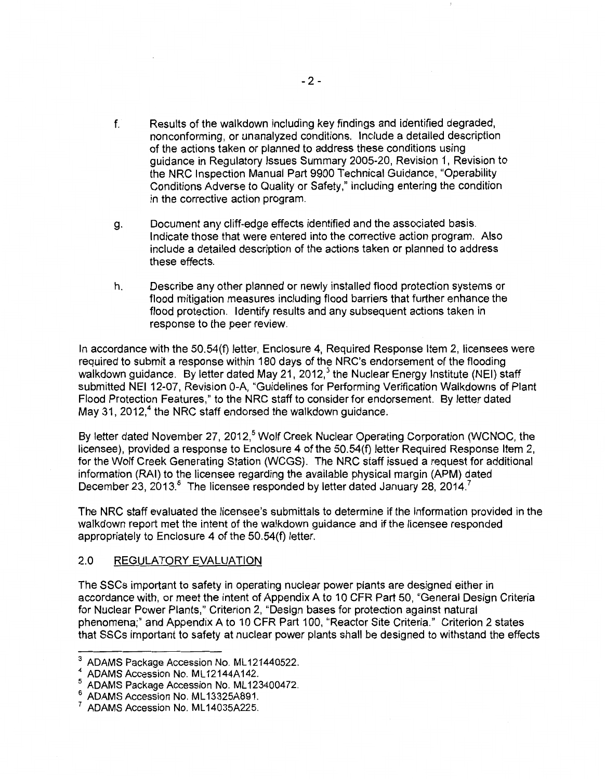- f. Results of the walkdown including key findings and identified degraded, nonconforming, or unanalyzed conditions. Include a detailed description of the actions taken or planned to address these conditions using guidance in Regulatory Issues Summary 2005-20, Revision 1, Revision to the NRC Inspection Manual Part 9900 Technical Guidance, "Operability Conditions Adverse to Quality or Safety," including entering the condition in the corrective action program.
- g. Document any cliff-edge effects identified and the associated basis. Indicate those that were entered into the corrective action program. Also include a detailed description of the actions taken or planned to address these effects.
- h. Describe any other planned or newly installed flood protection systems or flood mitigation measures including flood barriers that further enhance the flood protection. Identify results and any subsequent actions taken in response to the peer review.

In accordance with the 50.54(f) letter, Enclosure 4, Required Response Item 2, licensees were required to submit a response within 180 days of the NRC's endorsement of the flooding walkdown guidance. By letter dated May 21, 2012,<sup>3</sup> the Nuclear Energy Institute (NEI) staff submitted NEI 12-07, Revision 0-A, "Guidelines for Performing Verification Walkdowns of Plant Flood Protection Features," to the NRC staff to consider for endorsement. By letter dated May 31, 2012, $4$  the NRC staff endorsed the walkdown guidance.

By letter dated November 27, 2012,<sup>5</sup> Wolf Creek Nuclear Operating Corporation (WCNOC, the licensee), provided a response to Enclosure 4 of the 50.54(f) letter Required Response Item 2, for the Wolf Creek Generating Station (WCGS). The NRC staff issued a request for additional information (RAI) to the licensee regarding the available physical margin (APM) dated December 23, 2013.<sup>6</sup> The licensee responded by letter dated January 28, 2014.<sup>7</sup>

The NRC staff evaluated the licensee's submittals to determine if the information provided in the walkdown report met the intent of the walkdown guidance and if the licensee responded appropriately to Enclosure 4 of the 50.54(f) letter.

### 2.0 REGULATORY EVALUATION

The SSCs important to safety in operating nuclear power plants are designed either in accordance with, or meet the intent of Appendix A to 10 CFR Part 50, "General Design Criteria for Nuclear Power Plants," Criterion 2, "Design bases for protection against natural phenomena;" and Appendix A to 10 CFR Part 100, "Reactor Site Criteria." Criterion 2 states that SSCs important to safety at nuclear power plants shall be designed to withstand the effects

ADAMS Package Accession No. ML121440522.

<sup>&</sup>lt;sup>4</sup> ADAMS Accession No. ML12144A142.

<sup>5</sup> ADAMS Package Accession No. ML123400472

<sup>&</sup>lt;sup>6</sup> ADAMS Accession No. ML13325A891.<br><sup>7</sup> ADAMS Accession No. ML14035A225.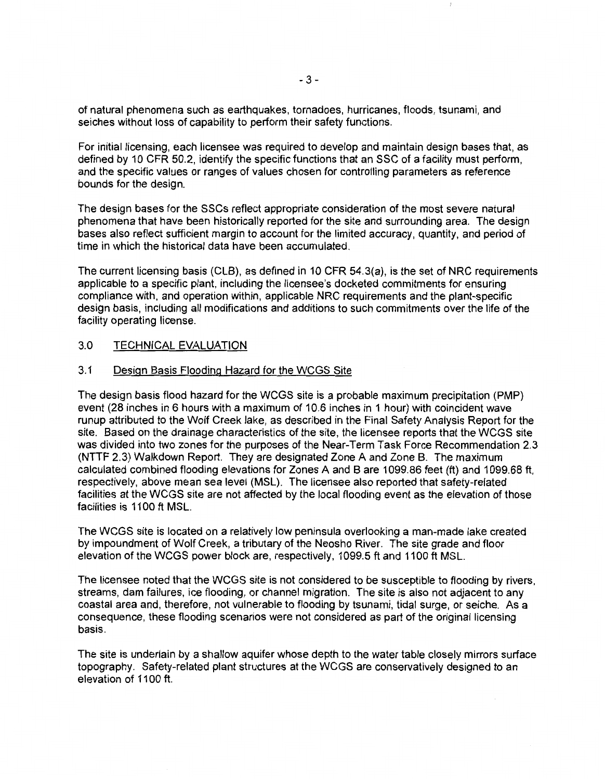of natural phenomena such as earthquakes, tornadoes, hurricanes, floods, tsunami, and seiches without loss of capability to perform their safety functions.

For initial licensing, each licensee was required to develop and maintain design bases that, as defined by 10 CFR 50.2, identify the specific functions that an SSC of a facility must perform, and the specific values or ranges of values chosen for controlling parameters as reference bounds for the design.

The design bases for the SSCs reflect appropriate consideration of the most severe natural phenomena that have been historically reported for the site and surrounding area. The design bases also reflect sufficient margin to account for the limited accuracy, quantity, and period of time in which the historical data have been accumulated.

The current licensing basis (CLB), as defined in 10 CFR 54.3(a), is the set of NRC requirements applicable to a specific plant, including the licensee's docketed commitments for ensuring compliance with, and operation within, applicable NRC requirements and the plant-specific design basis, including all modifications and additions to such commitments over the life of the facility operating license.

### 3.0 TECHNICAL EVALUATION

### 3.1 Design Basis Flooding Hazard for the WCGS Site

The design basis flood hazard for the WCGS site is a probable maximum precipitation (PMP) event (28 inches in 6 hours with a maximum of 10.6 inches in 1 hour) with coincident wave runup attributed to the Wolf Creek lake, as described in the Final Safety Analysis Report for the site. Based on the drainage characteristics of the site, the licensee reports that the WCGS site was divided into two zones for the purposes of the Near-Term Task Force Recommendation 2.3 (NTTF 2.3) Walkdown Report. They are designated Zone A and Zone B. The maximum calculated combined flooding elevations for Zones A and B are 1099.86 feet (ft) and 1099.68 ft, respectively, above mean sea level (MSL). The licensee also reported that safety-related facilities at the WCGS site are not affected by the local flooding event as the elevation of those facilities is 1100 ft MSL.

The WCGS site is located on a relatively low peninsula overlooking a man-made lake created by impoundment of Wolf Creek, a tributary of the Neosho River. The site grade and floor elevation of the WCGS power block are, respectively, 1099.5 ft and 1100 ft MSL.

The licensee noted that the WCGS site is not considered to be susceptible to flooding by rivers, streams, dam failures, ice flooding, or channel migration. The site is also not adjacent to any coastal area and, therefore, not vulnerable to flooding by tsunami, tidal surge, or seiche. As a consequence, these flooding scenarios were not considered as part of the original licensing basis.

The site is underlain by a shallow aquifer whose depth to the water table closely mirrors surface topography. Safety-related plant structures at the WCGS are conservatively designed to an elevation of 1100 ft.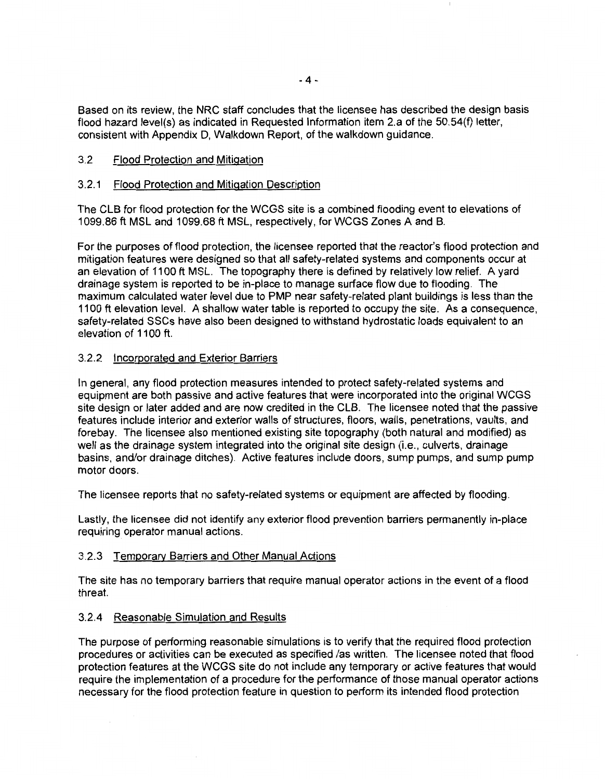Based on its review, the NRC staff concludes that the licensee has described the design basis flood hazard level(s) as indicated in Requested Information item 2.a of the 50.54(f) letter, consistent with Appendix D, Walkdown Report, of the walkdown guidance.

# 3.2 Flood Protection and Mitigation

# 3.2.1 Flood Protection and Mitigation Description

The CLB for flood protection for the WCGS site is a combined flooding event to elevations of 1099.86 ft MSL and 1099.68 ft MSL, respectively, for WCGS Zones A and B.

For the purposes of flood protection, the licensee reported that the reactor's flood protection and mitigation features were designed so that all safety-related systems and components occur at an elevation of 1100 ft MSL. The topography there is defined by relatively low relief. A yard drainage system is reported to be in-place to manage surface flow due to flooding. The maximum calculated water level due to PMP near safety-related plant buildings is less than the 1100 ft elevation level. A shallow water table is reported to occupy the site. As a consequence, safety-related SSCs have also been designed to withstand hydrostatic loads equivalent to an elevation of 1100 ft.

## 3.2.2 Incorporated and Exterior Barriers

In general, any flood protection measures intended to protect safety-related systems and equipment are both passive and active features that were incorporated into the original WCGS site design or later added and are now credited in the CLB. The licensee noted that the passive features include interior and exterior walls of structures, floors, walls, penetrations, vaults, and forebay. The licensee also mentioned existing site topography (both natural and modified) as well as the drainage system integrated into the original site design (i.e., culverts, drainage basins, and/or drainage ditches). Active features include doors, sump pumps, and sump pump motor doors.

The licensee reports that no safety-related systems or equipment are affected by flooding.

Lastly, the licensee did not identify any exterior flood prevention barriers permanently in-place requiring operator manual actions.

### 3.2.3 Temporary Barriers and Other Manual Actions

The site has no temporary barriers that require manual operator actions in the event of a flood threat.

### 3.2.4 Reasonable Simulation and Results

The purpose of performing reasonable simulations is to verify that the required flood protection procedures or activities can be executed as specified /as written. The licensee noted that flood protection features at the WCGS site do not include any temporary or active features that would require the implementation of a procedure for the performance of those manual operator actions necessary for the flood protection feature in question to perform its intended flood protection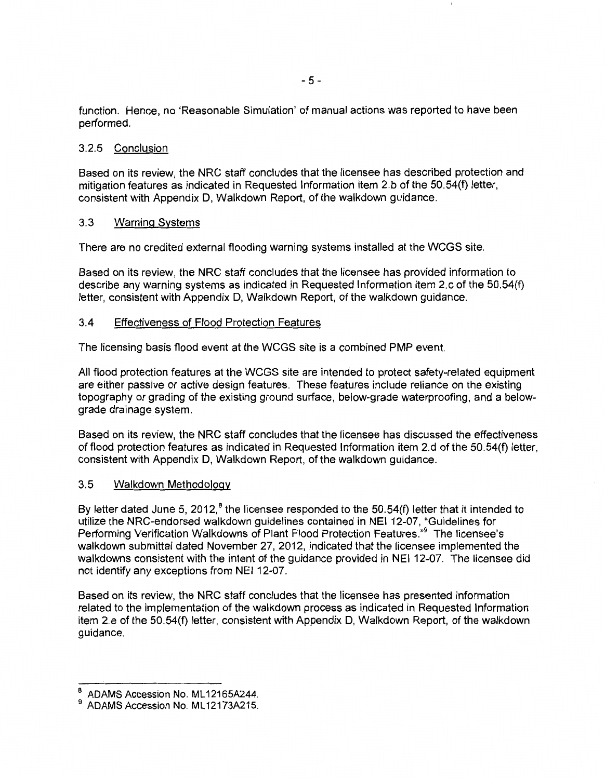function. Hence, no 'Reasonable Simulation' of manual actions was reported to have been performed.

## 3.2.5 Conclusion

Based on its review, the NRC staff concludes that the licensee has described protection and mitigation features as indicated in Requested Information item 2.b of the 50.54(f) letter, consistent with Appendix D, Walkdown Report, of the walkdown guidance.

## 3.3 Warning Systems

There are no credited external flooding warning systems installed at the WCGS site.

Based on its review, the NRC staff concludes that the licensee has provided information to describe any warning systems as indicated in Requested Information item 2.c of the 50.54(f) letter, consistent with Appendix D, Walkdown Report, of the walkdown guidance.

## 3.4 Effectiveness of Flood Protection Features

The licensing basis flood event at the WCGS site is a combined PMP event.

All flood protection features at the WCGS site are intended to protect safety-related equipment are either passive or active design features. These features include reliance on the existing topography or grading of the existing ground surface, below-grade waterproofing, and a belowgrade drainage system.

Based on its review, the NRC staff concludes that the licensee has discussed the effectiveness of flood protection features as indicated in Requested Information item 2.d of the 50.54(f) letter, consistent with Appendix D, Walkdown Report, of the walkdown guidance.

### 3.5 Walkdown Methodology

By letter dated June 5, 2012,<sup>8</sup> the licensee responded to the 50.54(f) letter that it intended to utilize the NRC-endorsed walkdown guidelines contained in NEI 12-07, "Guidelines for Performing Verification Walkdowns of Plant Flood Protection Features."<sup>9</sup> The licensee's walkdown submittal dated November 27, 2012, indicated that the licensee implemented the walkdowns consistent with the intent of the guidance provided in NEI 12-07. The licensee did not identify any exceptions from NEI 12-07.

Based on its review, the NRC staff concludes that the licensee has presented information related to the implementation of the walkdown process as indicated in Requested Information item 2.e of the 50.54(f) letter, consistent with Appendix D, Walkdown Report, of the walkdown guidance.

ADAMS Accession No. ML12165A244.

ADAMS Accession No. ML12173A215.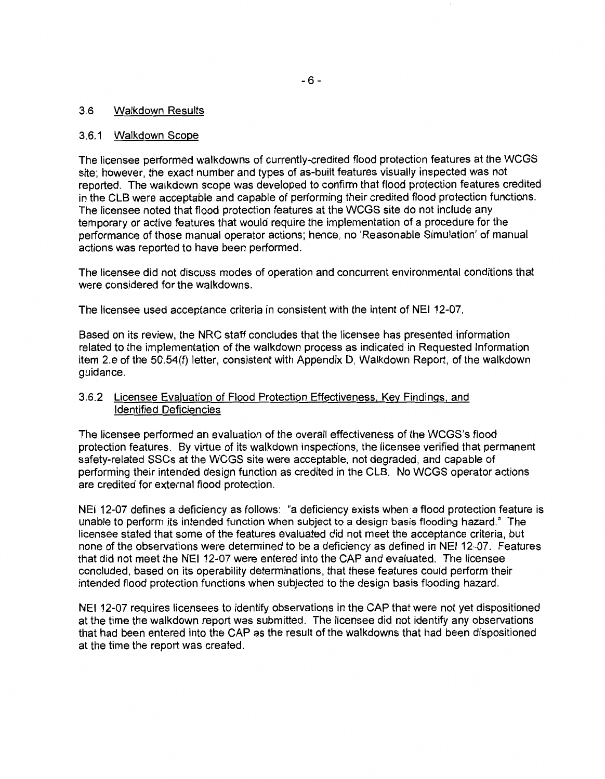#### 3.6 Walkdown Results

#### 3.6.1 Walkdown Scope

The licensee performed walkdowns of currently-credited flood protection features at the WCGS site; however, the exact number and types of as-built features visually inspected was not reported. The walkdown scope was developed to confirm that flood protection features credited in the CLB were acceptable and capable of performing their credited flood protection functions. The licensee noted that flood protection features at the WCGS site do not include any temporary or active features that would require the implementation of a procedure for the performance of those manual operator actions; hence, no 'Reasonable Simulation' of manual actions was reported to have been performed.

The licensee did not discuss modes of operation and concurrent environmental conditions that were considered for the walkdowns.

The licensee used acceptance criteria in consistent with the intent of NEI 12-07.

Based on its review, the NRC staff concludes that the licensee has presented information related to the implementation of the walkdown process as indicated in Requested Information item 2.e of the 50.54(f) letter, consistent with Appendix D, Walkdown Report, of the walkdown guidance.

### 3.6.2 Licensee Evaluation of Flood Protection Effectiveness. Key Findings, and Identified Deficiencies

The licensee performed an evaluation of the overall effectiveness of the WCGS's flood protection features. By virtue of its walkdown inspections, the licensee verified that permanent safety-related SSCs at the WCGS site were acceptable, not degraded, and capable of performing their intended design function as credited in the CLB. No WCGS operator actions are credited for external flood protection.

NEI 12-07 defines a deficiency as follows: "a deficiency exists when a flood protection feature is unable to perform its intended function when subject to a design basis flooding hazard." The licensee stated that some of the features evaluated did not meet the acceptance criteria, but none of the observations were determined to be a deficiency as defined in NEI 12-07. Features that did not meet the NEI 12-07 were entered into the CAP and evaluated. The licensee concluded, based on its operability determinations, that these features could perform their intended flood protection functions when subjected to the design basis flooding hazard.

NEI 12-07 requires licensees to identify observations in the CAP that were not yet dispositioned at the time the walkdown report was submitted. The licensee did not identify any observations that had been entered into the CAP as the result of the walkdowns that had been dispositioned at the time the report was created.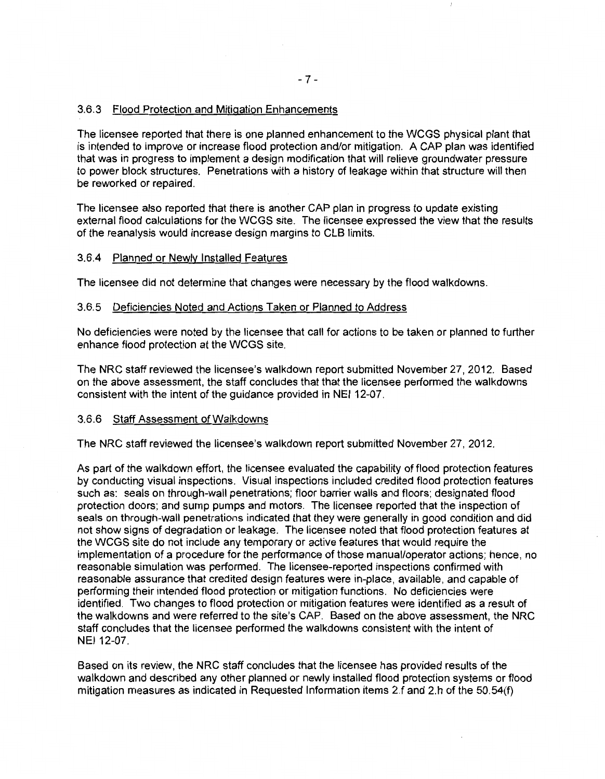## 3.6.3 Flood Protection and Mitigation Enhancements

The licensee reported that there is one planned enhancement to the WCGS physical plant that is intended to improve or increase flood protection and/or mitigation. A CAP plan was identified that was in progress to implement a design modification that will relieve groundwater pressure to power block structures. Penetrations with a history of leakage within that structure will then be reworked or repaired.

The licensee also reported that there is another CAP plan in progress to update existing external flood calculations for the WCGS site. The licensee expressed the view that the results of the reanalysis would increase design margins to CLB limits.

#### 3.6.4 Planned or Newly Installed Features

The licensee did not determine that changes were necessary by the flood walkdowns.

#### 3.6.5 Deficiencies Noted and Actions Taken or Planned to Address

No deficiencies were noted by the licensee that call for actions to be taken or planned to further enhance flood protection at the WCGS site.

The NRC staff reviewed the licensee's walkdown report submitted November 27, 2012. Based on the above assessment, the staff concludes that that the licensee performed the walkdowns consistent with the intent of the guidance provided in NEI 12-07.

#### 3.6.6 Staff Assessment of Walkdowns

The NRC staff reviewed the licensee's walkdown report submitted November 27, 2012.

As part of the walkdown effort, the licensee evaluated the capability of flood protection features by conducting visual inspections. Visual inspections included credited flood protection features such as: seals on through-wall penetrations; floor barrier walls and floors; designated flood protection doors; and sump pumps and motors. The licensee reported that the inspection of seals on through-wall penetrations indicated that they were generally in good condition and did not show signs of degradation or leakage. The licensee noted that flood protection features at the WCGS site do not include any temporary or active features that would require the implementation of a procedure for the performance of those manual/operator actions; hence, no reasonable simulation was performed. The licensee-reported inspections confirmed with reasonable assurance that credited design features were in-place, available, and capable of performing their intended flood protection or mitigation functions. No deficiencies were identified. Two changes to flood protection or mitigation features were identified as a result of the walkdowns and were referred to the site's CAP. Based on the above assessment, the NRC staff concludes that the licensee performed the walkdowns consistent with the intent of NEI 12-07.

Based on its review, the NRC staff concludes that the licensee has provided results of the walkdown and described any other planned or newly installed flood protection systems or flood mitigation measures as indicated in Requested Information items 2.f and 2.h of the 50.54(f)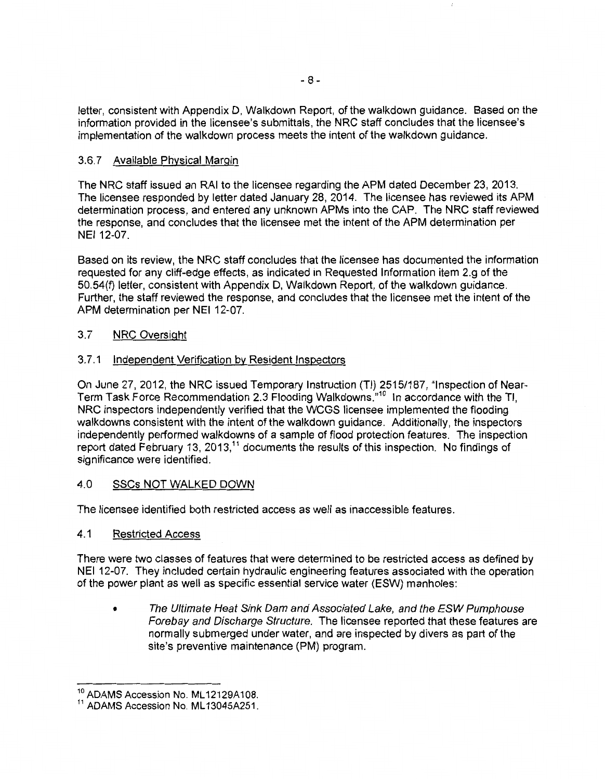letter, consistent with Appendix D, Walkdown Report, of the walkdown guidance. Based on the information provided in the licensee's submittals, the NRC staff concludes that the licensee's implementation of the walkdown process meets the intent of the walkdown guidance.

# 3.6. 7 Available Physical Margin

The NRC staff issued an RAI to the licensee regarding the APM dated December 23, 2013. The licensee responded by letter dated January 28, 2014. The licensee has reviewed its APM determination process, and entered any unknown APMs into the CAP. The NRC staff reviewed the response, and concludes that the licensee met the intent of the APM determination per NEI 12-07.

Based on its review, the NRC staff concludes that the licensee has documented the information requested for any cliff-edge effects, as indicated in Requested Information item 2.g of the 50.54(f) letter, consistent with Appendix D, Walkdown Report, of the walkdown guidance. Further, the staff reviewed the response, and concludes that the licensee met the intent of the APM determination per NEI 12-07.

# 3.7 NRC Oversight

# 3.7.1 Independent Verification by Resident Inspectors

On June 27, 2012, the NRC issued Temporary Instruction (TI) 2515/187, "Inspection of Near-Term Task Force Recommendation 2.3 Flooding Walkdowns."<sup>10</sup> In accordance with the Tl, NRC inspectors independently verified that the WCGS licensee implemented the flooding walkdowns consistent with the intent of the walkdown guidance. Additionally, the inspectors independently performed walkdowns of a sample of flood protection features. The inspection report dated February 13, 2013,<sup>11</sup> documents the results of this inspection. No findings of significance were identified.

# 4.0 SSCs NOT WALKED DOWN

The licensee identified both restricted access as well as inaccessible features.

# 4.1 Restricted Access

There were two classes of features that were determined to be restricted access as defined by NEI 12-07. They included certain hydraulic engineering features associated with the operation of the power plant as well as specific essential service water (ESW) manholes:

• The Ultimate Heat Sink Dam and Associated Lake, and the ESW Pumphouse Forebay and Discharge Structure. The licensee reported that these features are normally submerged under water, and are inspected by divers as part of the site's preventive maintenance (PM) program.

<sup>&</sup>lt;sup>10</sup> ADAMS Accession No. ML12129A108.

<sup>&</sup>lt;sup>11</sup> ADAMS Accession No. ML13045A251.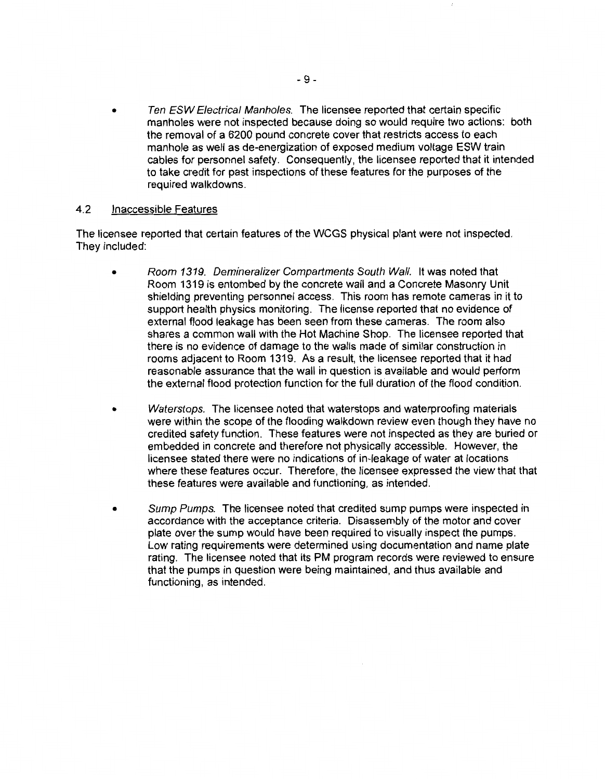Ten ESW Electrical Manholes. The licensee reported that certain specific manholes were not inspected because doing so would require two actions: both the removal of a 6200 pound concrete cover that restricts access to each manhole as well as de-energization of exposed medium voltage ESW train cables for personnel safety. Consequently, the licensee reported that it intended to take credit for past inspections of these features for the purposes of the required walkdowns.

### 4.2 Inaccessible Features

The licensee reported that certain features of the WCGS physical plant were not inspected. They included:

- Room 1319. Demineralizer Compartments South Wall. It was noted that Room 1319 is entombed by the concrete wall and a Concrete Masonry Unit shielding preventing personnel access. This room has remote cameras in it to support health physics monitoring. The license reported that no evidence of external flood leakage has been seen from these cameras. The room also shares a common wall with the Hot Machine Shop. The licensee reported that there is no evidence of damage to the walls made of similar construction in rooms adjacent to Room 1319. As a result, the licensee reported that it had reasonable assurance that the wall in question is available and would perform the external flood protection function for the full duration of the flood condition.
- Waterstops. The licensee noted that waterstops and waterproofing materials were within the scope of the flooding walkdown review even though they have no credited safety function. These features were not inspected as they are buried or embedded in concrete and therefore not physically accessible. However, the licensee stated there were no indications of in-leakage of water at locations where these features occur. Therefore, the licensee expressed the view that that these features were available and functioning, as intended.
- Sump Pumps. The licensee noted that credited sump pumps were inspected in accordance with the acceptance criteria. Disassembly of the motor and cover plate over the sump would have been required to visually inspect the pumps. Low rating requirements were determined using documentation and name plate rating. The licensee noted that its PM program records were reviewed to ensure that the pumps in question were being maintained, and thus available and functioning, as intended.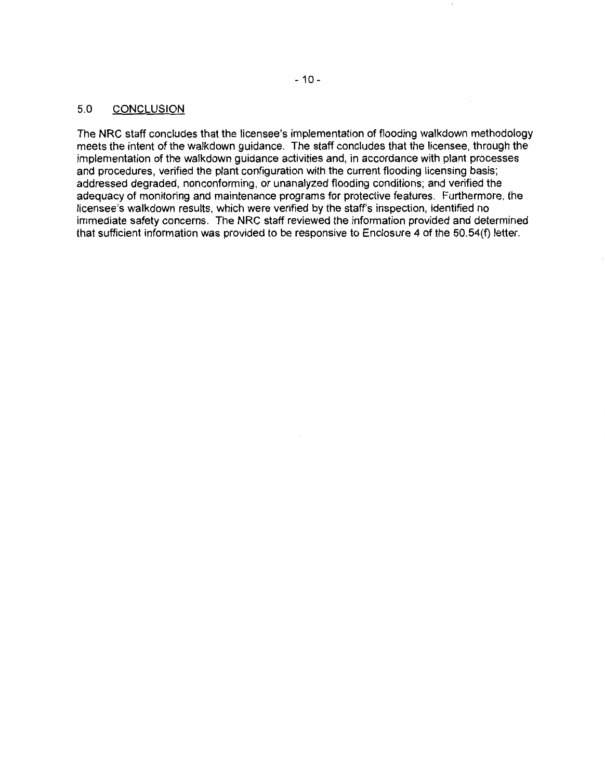## 5.0 CONCLUSION

The NRC staff concludes that the licensee's implementation of flooding walkdown methodology meets the intent of the walkdown guidance. The staff concludes that the licensee, through the implementation of the walkdown guidance activities and, in accordance with plant processes and procedures, verified the plant configuration with the current flooding licensing basis; addressed degraded, nonconforming, or unanalyzed flooding conditions; and verified the adequacy of monitoring and maintenance programs for protective features. Furthermore, the licensee's walkdown results, which were verified by the staff's inspection, identified no immediate safety concerns. The NRC staff reviewed the information provided and determined that sufficient information was provided to be responsive to Enclosure 4 of the 50. 54(f) letter.